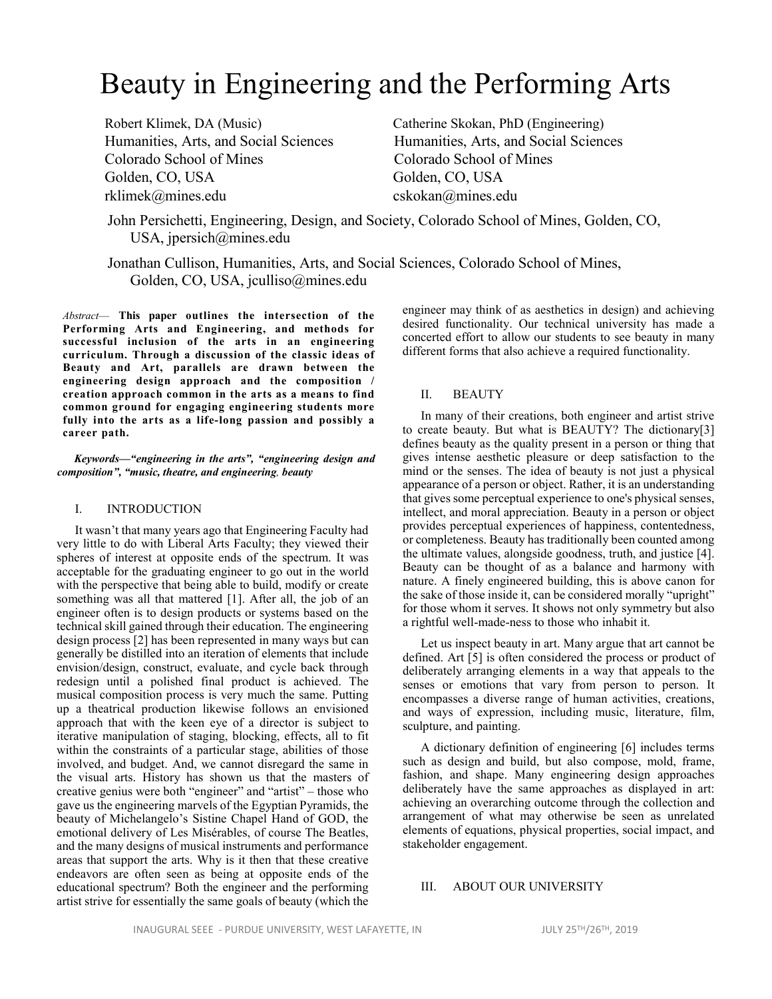# Beauty in Engineering and the Performing Arts

Robert Klimek, DA (Music) Catherine Skokan, PhD (Engineering) Humanities, Arts, and Social Sciences Humanities, Arts, and Social Sciences Colorado School of Mines Colorado School of Mines Golden, CO, USA Golden, CO, USA rklimek@mines.edu cskokan@mines.edu

John Persichetti, Engineering, Design, and Society, Colorado School of Mines, Golden, CO, USA, jpersich@mines.edu

Jonathan Cullison, Humanities, Arts, and Social Sciences, Colorado School of Mines, Golden, CO, USA, jculliso@mines.edu

*Abstract*— **This paper outlines the intersection of the Performing Arts and Engineering, and methods for successful inclusion of the arts in an engineering curriculum. Through a discussion of the classic ideas of Beauty and Art, parallels are drawn between the engineering design approach and the composition / creation approach common in the arts as a means to find common ground for engaging engineering students more fully into the arts as a life-long passion and possibly a career path.**

*Keywords—"engineering in the arts", "engineering design and composition", "music, theatre, and engineering, beauty*

# I. INTRODUCTION

It wasn't that many years ago that Engineering Faculty had very little to do with Liberal Arts Faculty; they viewed their spheres of interest at opposite ends of the spectrum. It was acceptable for the graduating engineer to go out in the world with the perspective that being able to build, modify or create something was all that mattered [1]. After all, the job of an engineer often is to design products or systems based on the technical skill gained through their education. The engineering design process [2] has been represented in many ways but can generally be distilled into an iteration of elements that include envision/design, construct, evaluate, and cycle back through redesign until a polished final product is achieved. The musical composition process is very much the same. Putting up a theatrical production likewise follows an envisioned approach that with the keen eye of a director is subject to iterative manipulation of staging, blocking, effects, all to fit within the constraints of a particular stage, abilities of those involved, and budget. And, we cannot disregard the same in the visual arts. History has shown us that the masters of creative genius were both "engineer" and "artist" – those who gave us the engineering marvels of the Egyptian Pyramids, the beauty of Michelangelo's Sistine Chapel Hand of GOD, the emotional delivery of Les Misérables, of course The Beatles, and the many designs of musical instruments and performance areas that support the arts. Why is it then that these creative endeavors are often seen as being at opposite ends of the educational spectrum? Both the engineer and the performing artist strive for essentially the same goals of beauty (which the engineer may think of as aesthetics in design) and achieving desired functionality. Our technical university has made a concerted effort to allow our students to see beauty in many different forms that also achieve a required functionality.

# II. BEAUTY

In many of their creations, both engineer and artist strive to create beauty. But what is BEAUTY? The dictionary[3] defines beauty as the quality present in a person or thing that gives intense aesthetic pleasure or deep satisfaction to the mind or the senses. The idea of beauty is not just a physical appearance of a person or object. Rather, it is an understanding that gives some perceptual experience to one's physical senses, intellect, and moral appreciation. Beauty in a person or object provides perceptual experiences of happiness, contentedness, or completeness. Beauty has traditionally been counted among the ultimate values, alongside goodness, truth, and justice [4]. Beauty can be thought of as a balance and harmony with nature. A finely engineered building, this is above canon for the sake of those inside it, can be considered morally "upright" for those whom it serves. It shows not only symmetry but also a rightful well-made-ness to those who inhabit it.

Let us inspect beauty in art. Many argue that art cannot be defined. Art [5] is often considered the process or product of deliberately arranging elements in a way that appeals to the senses or emotions that vary from person to person. It encompasses a diverse range of human activities, creations, and ways of expression, including music, literature, film, sculpture, and painting.

A dictionary definition of engineering [6] includes terms such as design and build, but also compose, mold, frame, fashion, and shape. Many engineering design approaches deliberately have the same approaches as displayed in art: achieving an overarching outcome through the collection and arrangement of what may otherwise be seen as unrelated elements of equations, physical properties, social impact, and stakeholder engagement.

#### III. ABOUT OUR UNIVERSITY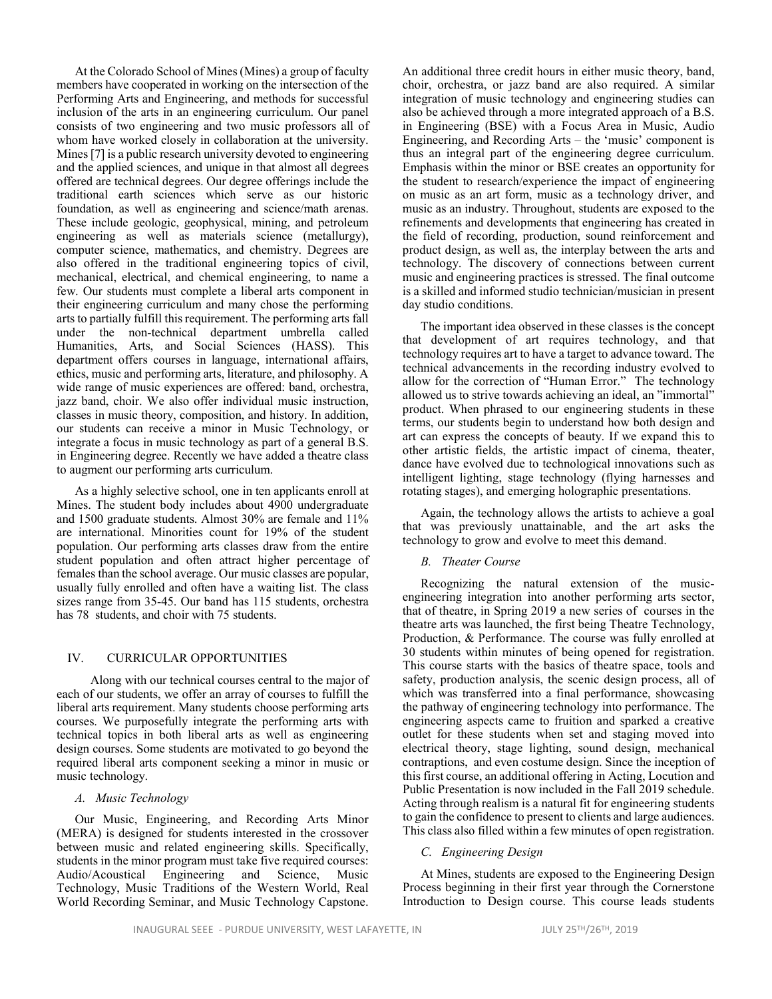At the Colorado School of Mines (Mines) a group of faculty members have cooperated in working on the intersection of the Performing Arts and Engineering, and methods for successful inclusion of the arts in an engineering curriculum. Our panel consists of two engineering and two music professors all of whom have worked closely in collaboration at the university. Mines [7] is a public research university devoted to engineering and the applied sciences, and unique in that almost all degrees offered are technical degrees. Our degree offerings include the traditional earth sciences which serve as our historic foundation, as well as engineering and science/math arenas. These include geologic, geophysical, mining, and petroleum engineering as well as materials science (metallurgy), computer science, mathematics, and chemistry. Degrees are also offered in the traditional engineering topics of civil, mechanical, electrical, and chemical engineering, to name a few. Our students must complete a liberal arts component in their engineering curriculum and many chose the performing arts to partially fulfill this requirement. The performing arts fall under the non-technical department umbrella called Humanities, Arts, and Social Sciences (HASS). This department offers courses in language, international affairs, ethics, music and performing arts, literature, and philosophy. A wide range of music experiences are offered: band, orchestra, jazz band, choir. We also offer individual music instruction, classes in music theory, composition, and history. In addition, our students can receive a minor in Music Technology, or integrate a focus in music technology as part of a general B.S. in Engineering degree. Recently we have added a theatre class to augment our performing arts curriculum.

As a highly selective school, one in ten applicants enroll at Mines. The student body includes about 4900 undergraduate and 1500 graduate students. Almost 30% are female and 11% are international. Minorities count for 19% of the student population. Our performing arts classes draw from the entire student population and often attract higher percentage of females than the school average. Our music classes are popular, usually fully enrolled and often have a waiting list. The class sizes range from 35-45. Our band has 115 students, orchestra has 78 students, and choir with 75 students.

# IV. CURRICULAR OPPORTUNITIES

 Along with our technical courses central to the major of each of our students, we offer an array of courses to fulfill the liberal arts requirement. Many students choose performing arts courses. We purposefully integrate the performing arts with technical topics in both liberal arts as well as engineering design courses. Some students are motivated to go beyond the required liberal arts component seeking a minor in music or music technology.

#### *A. Music Technology*

Our Music, Engineering, and Recording Arts Minor (MERA) is designed for students interested in the crossover between music and related engineering skills. Specifically, students in the minor program must take five required courses:<br>Audio/Acoustical Engineering and Science, Music Engineering and Science, Music Technology, Music Traditions of the Western World, Real World Recording Seminar, and Music Technology Capstone.

An additional three credit hours in either music theory, band, choir, orchestra, or jazz band are also required. A similar integration of music technology and engineering studies can also be achieved through a more integrated approach of a B.S. in Engineering (BSE) with a Focus Area in Music, Audio Engineering, and Recording Arts – the 'music' component is thus an integral part of the engineering degree curriculum. Emphasis within the minor or BSE creates an opportunity for the student to research/experience the impact of engineering on music as an art form, music as a technology driver, and music as an industry. Throughout, students are exposed to the refinements and developments that engineering has created in the field of recording, production, sound reinforcement and product design, as well as, the interplay between the arts and technology. The discovery of connections between current music and engineering practices is stressed. The final outcome is a skilled and informed studio technician/musician in present day studio conditions.

The important idea observed in these classes is the concept that development of art requires technology, and that technology requires art to have a target to advance toward. The technical advancements in the recording industry evolved to allow for the correction of "Human Error." The technology allowed us to strive towards achieving an ideal, an "immortal" product. When phrased to our engineering students in these terms, our students begin to understand how both design and art can express the concepts of beauty. If we expand this to other artistic fields, the artistic impact of cinema, theater, dance have evolved due to technological innovations such as intelligent lighting, stage technology (flying harnesses and rotating stages), and emerging holographic presentations.

Again, the technology allows the artists to achieve a goal that was previously unattainable, and the art asks the technology to grow and evolve to meet this demand.

#### *B. Theater Course*

Recognizing the natural extension of the musicengineering integration into another performing arts sector, that of theatre, in Spring 2019 a new series of courses in the theatre arts was launched, the first being Theatre Technology, Production, & Performance. The course was fully enrolled at 30 students within minutes of being opened for registration. This course starts with the basics of theatre space, tools and safety, production analysis, the scenic design process, all of which was transferred into a final performance, showcasing the pathway of engineering technology into performance. The engineering aspects came to fruition and sparked a creative outlet for these students when set and staging moved into electrical theory, stage lighting, sound design, mechanical contraptions, and even costume design. Since the inception of this first course, an additional offering in Acting, Locution and Public Presentation is now included in the Fall 2019 schedule. Acting through realism is a natural fit for engineering students to gain the confidence to present to clients and large audiences. This class also filled within a few minutes of open registration.

#### *C. Engineering Design*

At Mines, students are exposed to the Engineering Design Process beginning in their first year through the Cornerstone Introduction to Design course. This course leads students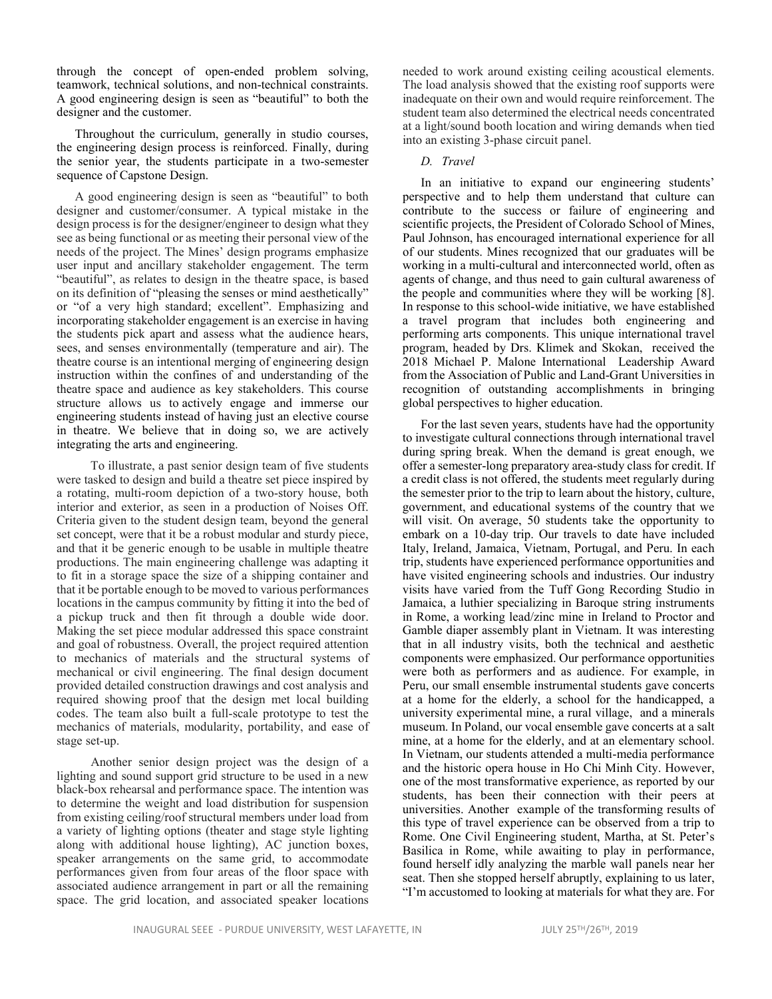through the concept of open-ended problem solving, teamwork, technical solutions, and non-technical constraints. A good engineering design is seen as "beautiful" to both the designer and the customer.

Throughout the curriculum, generally in studio courses, the engineering design process is reinforced. Finally, during the senior year, the students participate in a two-semester sequence of Capstone Design.

A good engineering design is seen as "beautiful" to both designer and customer/consumer. A typical mistake in the design process is for the designer/engineer to design what they see as being functional or as meeting their personal view of the needs of the project. The Mines' design programs emphasize user input and ancillary stakeholder engagement. The term "beautiful", as relates to design in the theatre space, is based on its definition of "pleasing the senses or mind aesthetically" or "of a very high standard; excellent". Emphasizing and incorporating stakeholder engagement is an exercise in having the students pick apart and assess what the audience hears, sees, and senses environmentally (temperature and air). The theatre course is an intentional merging of engineering design instruction within the confines of and understanding of the theatre space and audience as key stakeholders. This course structure allows us to actively engage and immerse our engineering students instead of having just an elective course in theatre. We believe that in doing so, we are actively integrating the arts and engineering.

 To illustrate, a past senior design team of five students were tasked to design and build a theatre set piece inspired by a rotating, multi-room depiction of a two-story house, both interior and exterior, as seen in a production of Noises Off. Criteria given to the student design team, beyond the general set concept, were that it be a robust modular and sturdy piece, and that it be generic enough to be usable in multiple theatre productions. The main engineering challenge was adapting it to fit in a storage space the size of a shipping container and that it be portable enough to be moved to various performances locations in the campus community by fitting it into the bed of a pickup truck and then fit through a double wide door. Making the set piece modular addressed this space constraint and goal of robustness. Overall, the project required attention to mechanics of materials and the structural systems of mechanical or civil engineering. The final design document provided detailed construction drawings and cost analysis and required showing proof that the design met local building codes. The team also built a full-scale prototype to test the mechanics of materials, modularity, portability, and ease of stage set-up.

 Another senior design project was the design of a lighting and sound support grid structure to be used in a new black-box rehearsal and performance space. The intention was to determine the weight and load distribution for suspension from existing ceiling/roof structural members under load from a variety of lighting options (theater and stage style lighting along with additional house lighting), AC junction boxes, speaker arrangements on the same grid, to accommodate performances given from four areas of the floor space with associated audience arrangement in part or all the remaining space. The grid location, and associated speaker locations

needed to work around existing ceiling acoustical elements. The load analysis showed that the existing roof supports were inadequate on their own and would require reinforcement. The student team also determined the electrical needs concentrated at a light/sound booth location and wiring demands when tied into an existing 3-phase circuit panel.

# *D. Travel*

In an initiative to expand our engineering students' perspective and to help them understand that culture can contribute to the success or failure of engineering and scientific projects, the President of Colorado School of Mines, Paul Johnson, has encouraged international experience for all of our students. Mines recognized that our graduates will be working in a multi-cultural and interconnected world, often as agents of change, and thus need to gain cultural awareness of the people and communities where they will be working [8]. In response to this school-wide initiative, we have established a travel program that includes both engineering and performing arts components. This unique international travel program, headed by Drs. Klimek and Skokan, received the 2018 Michael P. Malone International Leadership Award from the Association of Public and Land-Grant Universities in recognition of outstanding accomplishments in bringing global perspectives to higher education.

For the last seven years, students have had the opportunity to investigate cultural connections through international travel during spring break. When the demand is great enough, we offer a semester-long preparatory area-study class for credit. If a credit class is not offered, the students meet regularly during the semester prior to the trip to learn about the history, culture, government, and educational systems of the country that we will visit. On average, 50 students take the opportunity to embark on a 10-day trip. Our travels to date have included Italy, Ireland, Jamaica, Vietnam, Portugal, and Peru. In each trip, students have experienced performance opportunities and have visited engineering schools and industries. Our industry visits have varied from the Tuff Gong Recording Studio in Jamaica, a luthier specializing in Baroque string instruments in Rome, a working lead/zinc mine in Ireland to Proctor and Gamble diaper assembly plant in Vietnam. It was interesting that in all industry visits, both the technical and aesthetic components were emphasized. Our performance opportunities were both as performers and as audience. For example, in Peru, our small ensemble instrumental students gave concerts at a home for the elderly, a school for the handicapped, a university experimental mine, a rural village, and a minerals museum. In Poland, our vocal ensemble gave concerts at a salt mine, at a home for the elderly, and at an elementary school. In Vietnam, our students attended a multi-media performance and the historic opera house in Ho Chi Minh City. However, one of the most transformative experience, as reported by our students, has been their connection with their peers at universities. Another example of the transforming results of this type of travel experience can be observed from a trip to Rome. One Civil Engineering student, Martha, at St. Peter's Basilica in Rome, while awaiting to play in performance, found herself idly analyzing the marble wall panels near her seat. Then she stopped herself abruptly, explaining to us later, "I'm accustomed to looking at materials for what they are. For